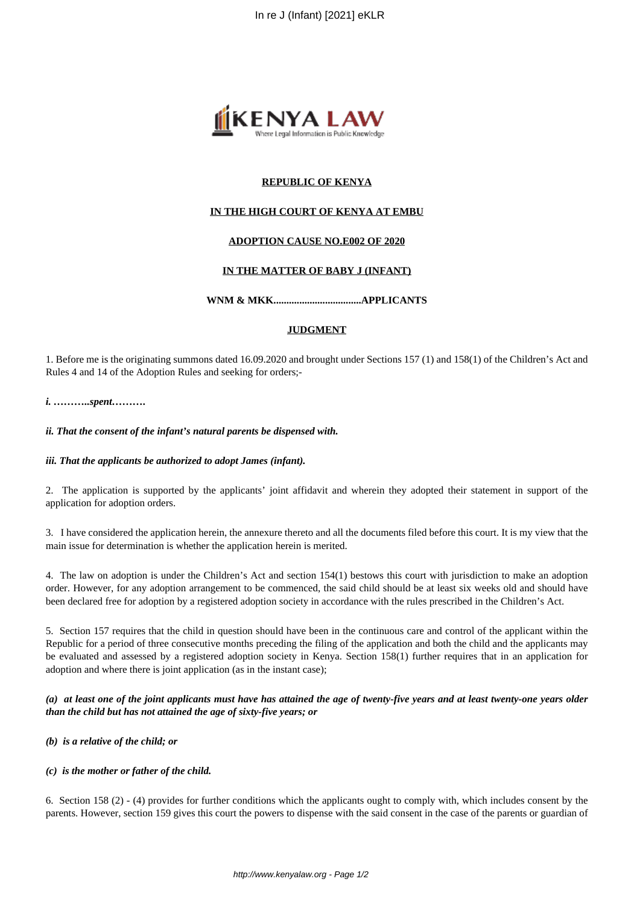

# **REPUBLIC OF KENYA**

# **IN THE HIGH COURT OF KENYA AT EMBU**

## **ADOPTION CAUSE NO.E002 OF 2020**

## **IN THE MATTER OF BABY J (INFANT)**

## **WNM & MKK..................................APPLICANTS**

### **JUDGMENT**

1. Before me is the originating summons dated 16.09.2020 and brought under Sections 157 (1) and 158(1) of the Children's Act and Rules 4 and 14 of the Adoption Rules and seeking for orders;-

### *i. ………..spent……….*

### *ii. That the consent of the infant's natural parents be dispensed with.*

#### *iii. That the applicants be authorized to adopt James (infant).*

2. The application is supported by the applicants' joint affidavit and wherein they adopted their statement in support of the application for adoption orders.

3. I have considered the application herein, the annexure thereto and all the documents filed before this court. It is my view that the main issue for determination is whether the application herein is merited.

4. The law on adoption is under the Children's Act and section 154(1) bestows this court with jurisdiction to make an adoption order. However, for any adoption arrangement to be commenced, the said child should be at least six weeks old and should have been declared free for adoption by a registered adoption society in accordance with the rules prescribed in the Children's Act.

5. Section 157 requires that the child in question should have been in the continuous care and control of the applicant within the Republic for a period of three consecutive months preceding the filing of the application and both the child and the applicants may be evaluated and assessed by a registered adoption society in Kenya. Section 158(1) further requires that in an application for adoption and where there is joint application (as in the instant case);

*(a) at least one of the joint applicants must have has attained the age of twenty-five years and at least twenty-one years older than the child but has not attained the age of sixty-five years; or*

## *(b) is a relative of the child; or*

## *(c) is the mother or father of the child.*

6. Section 158 (2) - (4) provides for further conditions which the applicants ought to comply with, which includes consent by the parents. However, section 159 gives this court the powers to dispense with the said consent in the case of the parents or guardian of